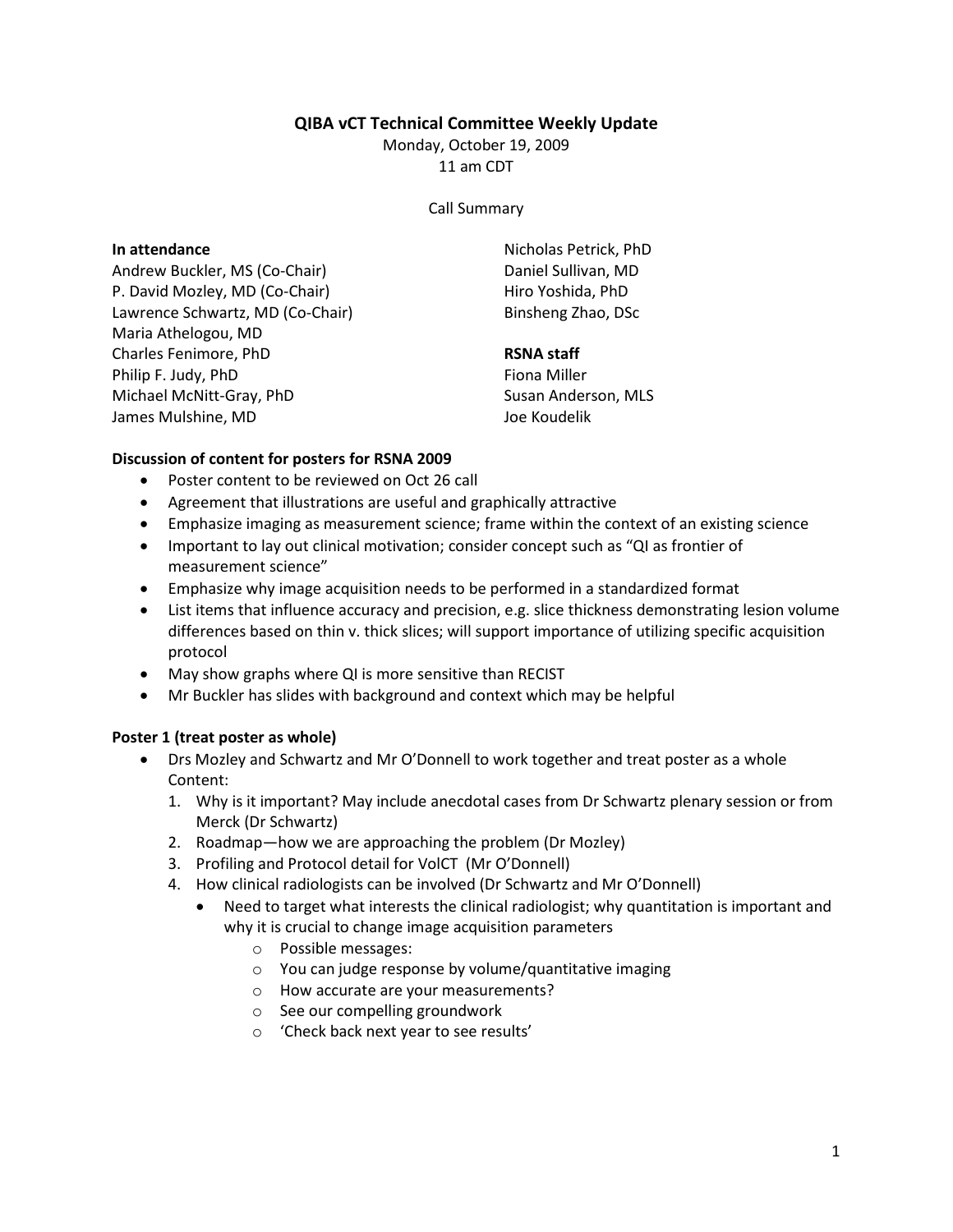# QIBA vCT Technical Committee Weekly Update

Monday, October 19, 2009 11 am CDT

Call Summary

#### In attendance

Andrew Buckler, MS (Co-Chair) P. David Mozley, MD (Co-Chair) Lawrence Schwartz, MD (Co-Chair) Maria Athelogou, MD Charles Fenimore, PhD Philip F. Judy, PhD Michael McNitt-Gray, PhD James Mulshine, MD

Nicholas Petrick, PhD Daniel Sullivan, MD Hiro Yoshida, PhD Binsheng Zhao, DSc

### RSNA staff

Fiona Miller Susan Anderson, MLS Joe Koudelik

# Discussion of content for posters for RSNA 2009

- Poster content to be reviewed on Oct 26 call
- Agreement that illustrations are useful and graphically attractive
- Emphasize imaging as measurement science; frame within the context of an existing science
- Important to lay out clinical motivation; consider concept such as "QI as frontier of measurement science"
- Emphasize why image acquisition needs to be performed in a standardized format
- List items that influence accuracy and precision, e.g. slice thickness demonstrating lesion volume differences based on thin v. thick slices; will support importance of utilizing specific acquisition protocol
- May show graphs where QI is more sensitive than RECIST
- Mr Buckler has slides with background and context which may be helpful

# Poster 1 (treat poster as whole)

- Drs Mozley and Schwartz and Mr O'Donnell to work together and treat poster as a whole Content:
	- 1. Why is it important? May include anecdotal cases from Dr Schwartz plenary session or from Merck (Dr Schwartz)
	- 2. Roadmap—how we are approaching the problem (Dr Mozley)
	- 3. Profiling and Protocol detail for VolCT (Mr O'Donnell)
	- 4. How clinical radiologists can be involved (Dr Schwartz and Mr O'Donnell)
		- Need to target what interests the clinical radiologist; why quantitation is important and why it is crucial to change image acquisition parameters
			- o Possible messages:
			- o You can judge response by volume/quantitative imaging
			- o How accurate are your measurements?
			- o See our compelling groundwork
			- o 'Check back next year to see results'